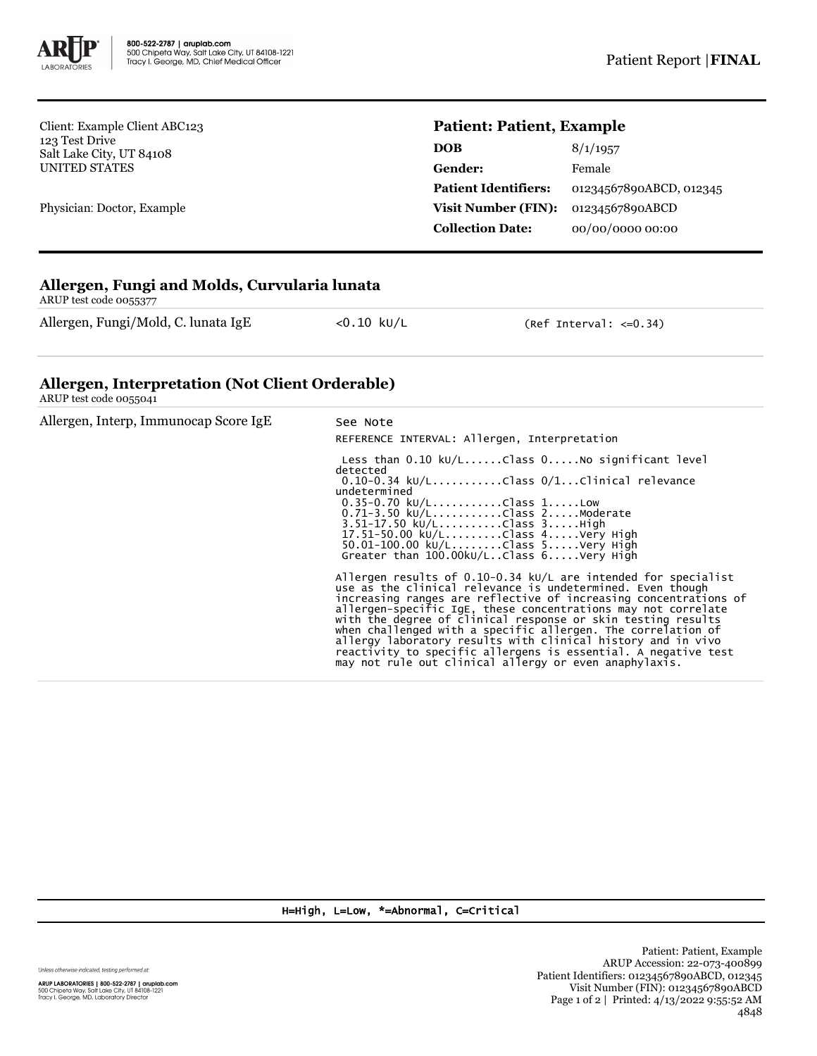

Client: Example Client ABC123 123 Test Drive Salt Lake City, UT 84108 UNITED STATES

Physician: Doctor, Example

## **Patient: Patient, Example**

| <b>DOB</b>                  | 8/1/1957                |  |
|-----------------------------|-------------------------|--|
| Gender:                     | Female                  |  |
| <b>Patient Identifiers:</b> | 01234567890ABCD, 012345 |  |
| <b>Visit Number (FIN):</b>  | 01234567890ABCD         |  |
| <b>Collection Date:</b>     | 00/00/0000 00:00        |  |

## **Allergen, Fungi and Molds, Curvularia lunata**

ARUP test code 0055377

Allergen, Fungi/Mold, C. lunata IgE <0.10 kU/L (Ref Interval: <= 0.34)

## **Allergen, Interpretation (Not Client Orderable)**

ARUP test code 0055041

| Allergen, Interp, Immunocap Score IgE | See Note<br>REFERENCE INTERVAL: Allergen, Interpretation                                                                                                                                                                                                                                                                                                                                                                                                                                                                                                                                        |  |  |
|---------------------------------------|-------------------------------------------------------------------------------------------------------------------------------------------------------------------------------------------------------------------------------------------------------------------------------------------------------------------------------------------------------------------------------------------------------------------------------------------------------------------------------------------------------------------------------------------------------------------------------------------------|--|--|
|                                       | Less than $0.10 \text{ kU/L}$ Class $0.1000$ significant level<br>detected<br>$0.10-0.34$ kU/LClass $0/1$ Clinical relevance<br>undetermined<br>$0.35 - 0.70$ kU/LClass 1Low<br>0.71-3.50 ku/LClass 2Moderate<br>$3.51 - 17.50 \text{ kU/L}$ Class $3.$ High<br>17.51-50.00 ku/LClass 4Very High<br>$50.01 - 100.00 \text{ kU/L}$ Class $5$ Very High<br>Greater than 100.00kU/LClass 6Very High                                                                                                                                                                                                |  |  |
|                                       | Allergen results of 0.10-0.34 $kU/L$ are intended for specialist<br>use as the clinical relevance is undetermined. Even though<br>increasing ranges are reflective of increasing concentrations of<br>allergen-specific IgE, these concentrations may not correlate<br>with the degree of clinical response or skin testing results<br>when challenged with a specific allergen. The correlation of<br>allergy laboratory results with clinical history and in vivo<br>reactivity to specific allergens is essential. A negative test<br>may not rule out clinical allergy or even anaphylaxis. |  |  |

H=High, L=Low, \*=Abnormal, C=Critical

Unless otherwise indicated, testing performed at: